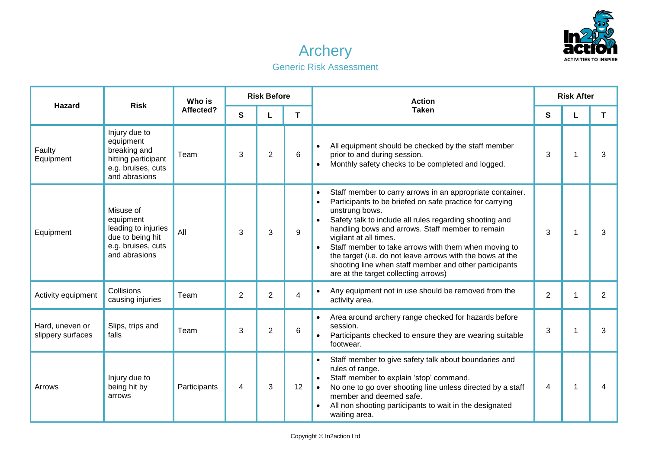

## Archery

## Generic Risk Assessment

| <b>Hazard</b>                        | <b>Risk</b>                                                                                              | Who is<br>Affected? | <b>Risk Before</b> |                |    | <b>Action</b>                                                                                                                                                                                                                                                                                                                                                                                                                                                                                                                                               |                | <b>Risk After</b> |                |  |
|--------------------------------------|----------------------------------------------------------------------------------------------------------|---------------------|--------------------|----------------|----|-------------------------------------------------------------------------------------------------------------------------------------------------------------------------------------------------------------------------------------------------------------------------------------------------------------------------------------------------------------------------------------------------------------------------------------------------------------------------------------------------------------------------------------------------------------|----------------|-------------------|----------------|--|
|                                      |                                                                                                          |                     | $\mathbf{s}$       | L              | T. | <b>Taken</b>                                                                                                                                                                                                                                                                                                                                                                                                                                                                                                                                                | S              | L                 | T.             |  |
| Faulty<br>Equipment                  | Injury due to<br>equipment<br>breaking and<br>hitting participant<br>e.g. bruises, cuts<br>and abrasions | Team                | 3                  | $\overline{2}$ | 6  | All equipment should be checked by the staff member<br>prior to and during session.<br>Monthly safety checks to be completed and logged.<br>$\bullet$                                                                                                                                                                                                                                                                                                                                                                                                       | 3              | 1                 | 3              |  |
| Equipment                            | Misuse of<br>equipment<br>leading to injuries<br>due to being hit<br>e.g. bruises, cuts<br>and abrasions | All                 | 3                  | 3              | 9  | Staff member to carry arrows in an appropriate container.<br>$\bullet$<br>Participants to be briefed on safe practice for carrying<br>$\bullet$<br>unstrung bows.<br>Safety talk to include all rules regarding shooting and<br>$\bullet$<br>handling bows and arrows. Staff member to remain<br>vigilant at all times.<br>Staff member to take arrows with them when moving to<br>$\bullet$<br>the target (i.e. do not leave arrows with the bows at the<br>shooting line when staff member and other participants<br>are at the target collecting arrows) | 3              | 1                 | 3              |  |
| Activity equipment                   | Collisions<br>causing injuries                                                                           | Team                | 2                  | $\overline{2}$ | 4  | Any equipment not in use should be removed from the<br>$\bullet$<br>activity area.                                                                                                                                                                                                                                                                                                                                                                                                                                                                          | 2              | 1                 | $\overline{2}$ |  |
| Hard, uneven or<br>slippery surfaces | Slips, trips and<br>falls                                                                                | Team                | 3                  | $\overline{2}$ | 6  | Area around archery range checked for hazards before<br>$\bullet$<br>session.<br>Participants checked to ensure they are wearing suitable<br>footwear.                                                                                                                                                                                                                                                                                                                                                                                                      | 3              | 1                 | 3              |  |
| Arrows                               | Injury due to<br>being hit by<br>arrows                                                                  | Participants        | 4                  | 3              | 12 | Staff member to give safety talk about boundaries and<br>$\bullet$<br>rules of range.<br>Staff member to explain 'stop' command.<br>$\bullet$<br>No one to go over shooting line unless directed by a staff<br>$\bullet$<br>member and deemed safe.<br>All non shooting participants to wait in the designated<br>waiting area.                                                                                                                                                                                                                             | $\overline{4}$ | $\overline{1}$    | 4              |  |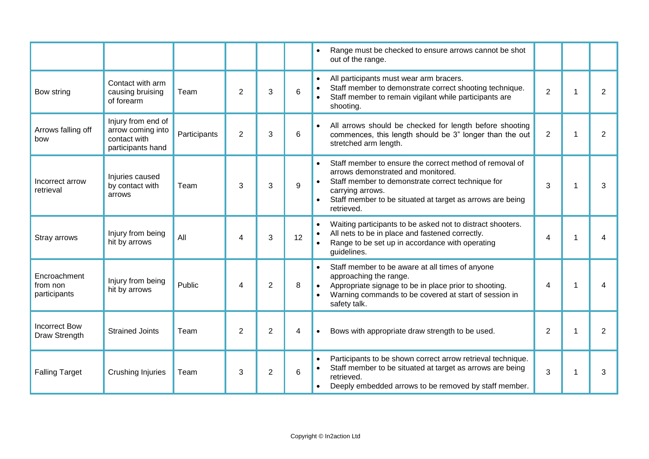|                                          |                                                                              |              |                |                |    | Range must be checked to ensure arrows cannot be shot<br>out of the range.                                                                                                                                                                                                  |                |   |                |
|------------------------------------------|------------------------------------------------------------------------------|--------------|----------------|----------------|----|-----------------------------------------------------------------------------------------------------------------------------------------------------------------------------------------------------------------------------------------------------------------------------|----------------|---|----------------|
| Bow string                               | Contact with arm<br>causing bruising<br>of forearm                           | Team         | $\overline{2}$ | 3              | 6  | All participants must wear arm bracers.<br>$\bullet$<br>Staff member to demonstrate correct shooting technique.<br>$\bullet$<br>Staff member to remain vigilant while participants are<br>$\bullet$<br>shooting.                                                            | $\overline{2}$ | 1 | 2              |
| Arrows falling off<br>bow                | Injury from end of<br>arrow coming into<br>contact with<br>participants hand | Participants | $\overline{2}$ | 3              | 6  | All arrows should be checked for length before shooting<br>$\bullet$<br>commences, this length should be 3" longer than the out<br>stretched arm length.                                                                                                                    | $\overline{2}$ | 1 | $\overline{2}$ |
| Incorrect arrow<br>retrieval             | Injuries caused<br>by contact with<br>arrows                                 | Team         | 3              | 3              | 9  | Staff member to ensure the correct method of removal of<br>$\bullet$<br>arrows demonstrated and monitored.<br>Staff member to demonstrate correct technique for<br>$\bullet$<br>carrying arrows.<br>Staff member to be situated at target as arrows are being<br>retrieved. | 3              | 1 | 3              |
| Stray arrows                             | Injury from being<br>hit by arrows                                           | All          | 4              | 3              | 12 | Waiting participants to be asked not to distract shooters.<br>$\bullet$<br>All nets to be in place and fastened correctly.<br>$\bullet$<br>Range to be set up in accordance with operating<br>$\bullet$<br>guidelines.                                                      | $\overline{4}$ | 1 | 4              |
| Encroachment<br>from non<br>participants | Injury from being<br>hit by arrows                                           | Public       | 4              | $\overline{2}$ | 8  | Staff member to be aware at all times of anyone<br>$\bullet$<br>approaching the range.<br>Appropriate signage to be in place prior to shooting.<br>$\bullet$<br>Warning commands to be covered at start of session in<br>$\bullet$<br>safety talk.                          | $\overline{4}$ | 1 | 4              |
| <b>Incorrect Bow</b><br>Draw Strength    | <b>Strained Joints</b>                                                       | Team         | $\overline{2}$ | $\overline{2}$ | 4  | Bows with appropriate draw strength to be used.<br>$\bullet$                                                                                                                                                                                                                | $\overline{2}$ | 1 | 2              |
| <b>Falling Target</b>                    | Crushing Injuries                                                            | Team         | 3              | $\overline{2}$ | 6  | Participants to be shown correct arrow retrieval technique.<br>$\bullet$<br>Staff member to be situated at target as arrows are being<br>$\bullet$<br>retrieved.<br>Deeply embedded arrows to be removed by staff member.                                                   | 3              |   | 3              |